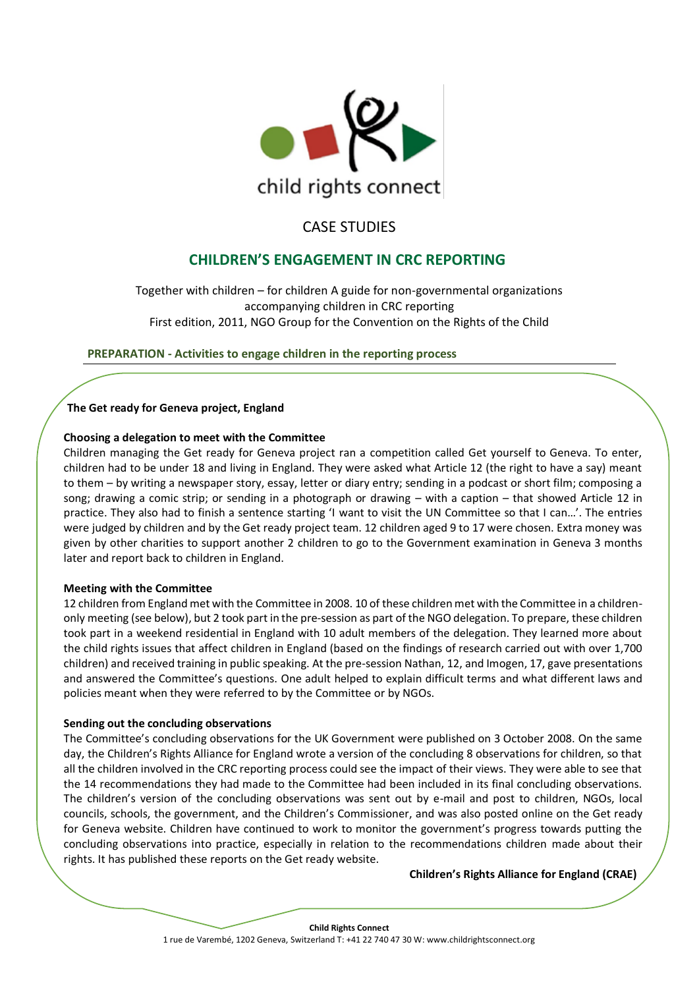

# CASE STUDIES

# **CHILDREN'S ENGAGEMENT IN CRC REPORTING**

Together with children – for children A guide for non-governmental organizations accompanying children in CRC reporting First edition, 2011, NGO Group for the Convention on the Rights of the Child

**PREPARATION - Activities to engage children in the reporting process**

# **The Get ready for Geneva project, England**

# **Choosing a delegation to meet with the Committee**

Children managing the Get ready for Geneva project ran a competition called Get yourself to Geneva. To enter, children had to be under 18 and living in England. They were asked what Article 12 (the right to have a say) meant to them – by writing a newspaper story, essay, letter or diary entry; sending in a podcast or short film; composing a song; drawing a comic strip; or sending in a photograph or drawing – with a caption – that showed Article 12 in practice. They also had to finish a sentence starting 'I want to visit the UN Committee so that I can…'. The entries were judged by children and by the Get ready project team. 12 children aged 9 to 17 were chosen. Extra money was given by other charities to support another 2 children to go to the Government examination in Geneva 3 months later and report back to children in England.

# **Meeting with the Committee**

12 children from England met with the Committee in 2008. 10 of these children met with the Committee in a childrenonly meeting (see below), but 2 took part in the pre-session as part of the NGO delegation. To prepare, these children took part in a weekend residential in England with 10 adult members of the delegation. They learned more about the child rights issues that affect children in England (based on the findings of research carried out with over 1,700 children) and received training in public speaking. At the pre-session Nathan, 12, and Imogen, 17, gave presentations and answered the Committee's questions. One adult helped to explain difficult terms and what different laws and policies meant when they were referred to by the Committee or by NGOs.

# **Sending out the concluding observations**

The Committee's concluding observations for the UK Government were published on 3 October 2008. On the same day, the Children's Rights Alliance for England wrote a version of the concluding 8 observations for children, so that all the children involved in the CRC reporting process could see the impact of their views. They were able to see that the 14 recommendations they had made to the Committee had been included in its final concluding observations. The children's version of the concluding observations was sent out by e-mail and post to children, NGOs, local councils, schools, the government, and the Children's Commissioner, and was also posted online on the Get ready for Geneva website. Children have continued to work to monitor the government's progress towards putting the concluding observations into practice, especially in relation to the recommendations children made about their rights. It has published these reports on the Get ready website.

# **Children's Rights Alliance for England (CRAE)**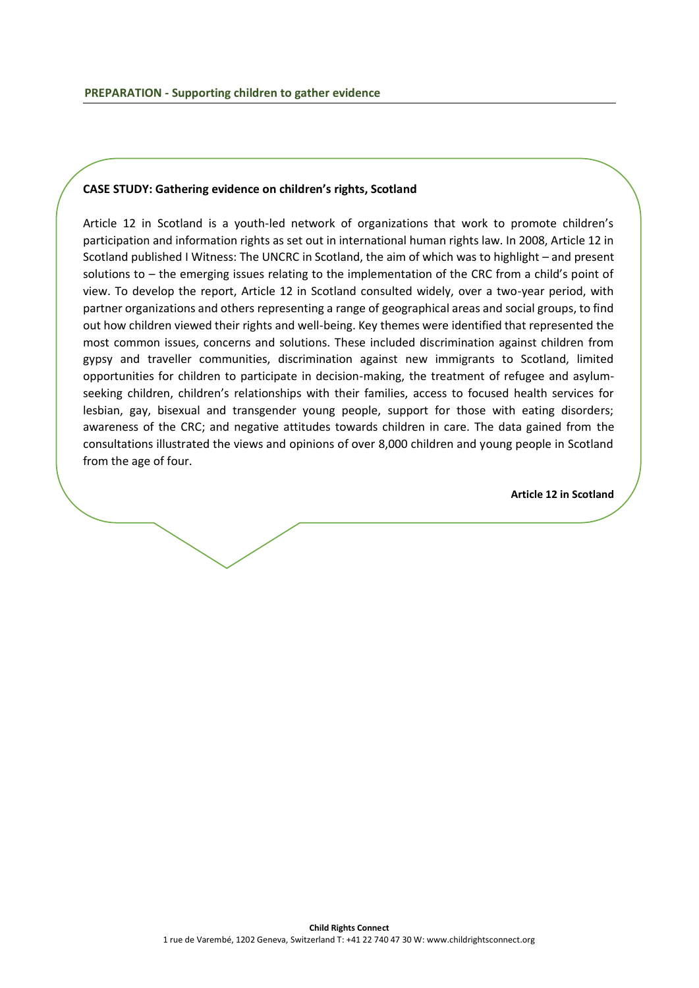## **CASE STUDY: Gathering evidence on children's rights, Scotland**

Article 12 in Scotland is a youth-led network of organizations that work to promote children's participation and information rights as set out in international human rights law. In 2008, Article 12 in Scotland published I Witness: The UNCRC in Scotland, the aim of which was to highlight – and present solutions to – the emerging issues relating to the implementation of the CRC from a child's point of view. To develop the report, Article 12 in Scotland consulted widely, over a two-year period, with partner organizations and others representing a range of geographical areas and social groups, to find out how children viewed their rights and well-being. Key themes were identified that represented the most common issues, concerns and solutions. These included discrimination against children from gypsy and traveller communities, discrimination against new immigrants to Scotland, limited opportunities for children to participate in decision-making, the treatment of refugee and asylumseeking children, children's relationships with their families, access to focused health services for lesbian, gay, bisexual and transgender young people, support for those with eating disorders; awareness of the CRC; and negative attitudes towards children in care. The data gained from the consultations illustrated the views and opinions of over 8,000 children and young people in Scotland from the age of four.

**Article 12 in Scotland**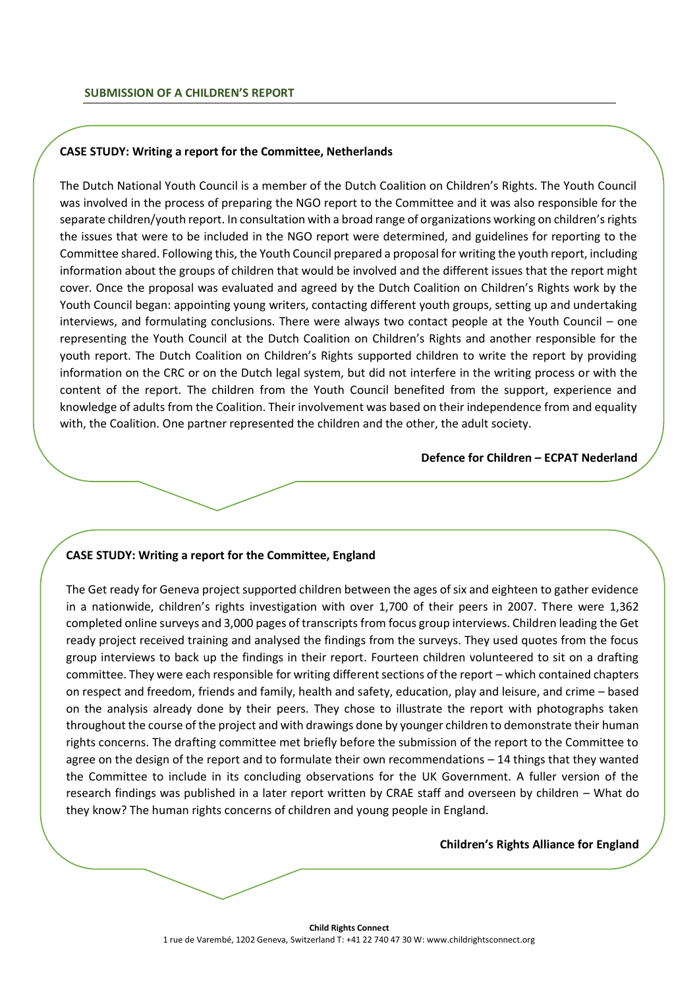#### **CASE STUDY: Writing a report for the Committee, Netherlands**

The Dutch National Youth Council is a member of the Dutch Coalition on Children's Rights. The Youth Council was involved in the process of preparing the NGO report to the Committee and it was also responsible for the separate children/youth report. In consultation with a broad range of organizations working on children's rights the issues that were to be included in the NGO report were determined, and guidelines for reporting to the Committee shared. Following this, the Youth Council prepared a proposal for writing the youth report, including information about the groups of children that would be involved and the different issues that the report might cover. Once the proposal was evaluated and agreed by the Dutch Coalition on Children's Rights work by the Youth Council began: appointing young writers, contacting different youth groups, setting up and undertaking interviews, and formulating conclusions. There were always two contact people at the Youth Council – one representing the Youth Council at the Dutch Coalition on Children's Rights and another responsible for the youth report. The Dutch Coalition on Children's Rights supported children to write the report by providing information on the CRC or on the Dutch legal system, but did not interfere in the writing process or with the content of the report. The children from the Youth Council benefited from the support, experience and knowledge of adults from the Coalition. Their involvement was based on their independence from and equality with, the Coalition. One partner represented the children and the other, the adult society.

### **Defence for Children – ECPAT Nederland**

#### **CASE STUDY: Writing a report for the Committee, England**

The Get ready for Geneva project supported children between the ages of six and eighteen to gather evidence in a nationwide, children's rights investigation with over 1,700 of their peers in 2007. There were 1,362 completed online surveys and 3,000 pages of transcripts from focus group interviews. Children leading the Get ready project received training and analysed the findings from the surveys. They used quotes from the focus group interviews to back up the findings in their report. Fourteen children volunteered to sit on a drafting committee. They were each responsible for writing different sections of the report – which contained chapters on respect and freedom, friends and family, health and safety, education, play and leisure, and crime – based on the analysis already done by their peers. They chose to illustrate the report with photographs taken throughout the course of the project and with drawings done by younger children to demonstrate their human rights concerns. The drafting committee met briefly before the submission of the report to the Committee to agree on the design of the report and to formulate their own recommendations – 14 things that they wanted the Committee to include in its concluding observations for the UK Government. A fuller version of the research findings was published in a later report written by CRAE staff and overseen by children – What do they know? The human rights concerns of children and young people in England.

#### **Children's Rights Alliance for England**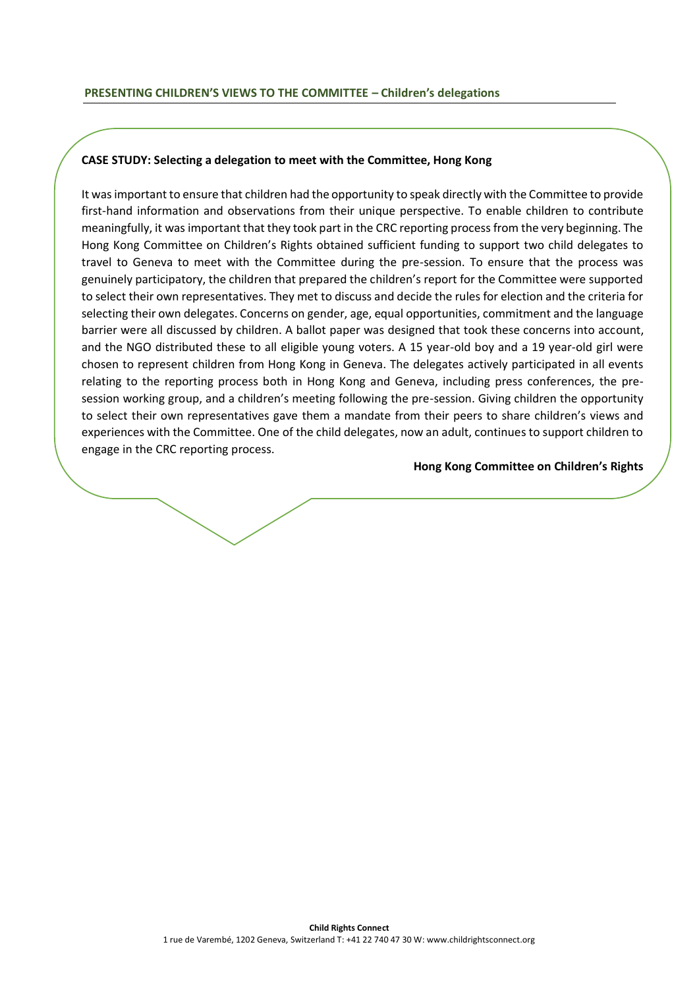### **CASE STUDY: Selecting a delegation to meet with the Committee, Hong Kong**

It was important to ensure that children had the opportunity to speak directly with the Committee to provide first-hand information and observations from their unique perspective. To enable children to contribute meaningfully, it was important that they took part in the CRC reporting process from the very beginning. The Hong Kong Committee on Children's Rights obtained sufficient funding to support two child delegates to travel to Geneva to meet with the Committee during the pre-session. To ensure that the process was genuinely participatory, the children that prepared the children's report for the Committee were supported to select their own representatives. They met to discuss and decide the rules for election and the criteria for selecting their own delegates. Concerns on gender, age, equal opportunities, commitment and the language barrier were all discussed by children. A ballot paper was designed that took these concerns into account, and the NGO distributed these to all eligible young voters. A 15 year-old boy and a 19 year-old girl were chosen to represent children from Hong Kong in Geneva. The delegates actively participated in all events relating to the reporting process both in Hong Kong and Geneva, including press conferences, the presession working group, and a children's meeting following the pre-session. Giving children the opportunity to select their own representatives gave them a mandate from their peers to share children's views and experiences with the Committee. One of the child delegates, now an adult, continues to support children to engage in the CRC reporting process.

**Hong Kong Committee on Children's Rights**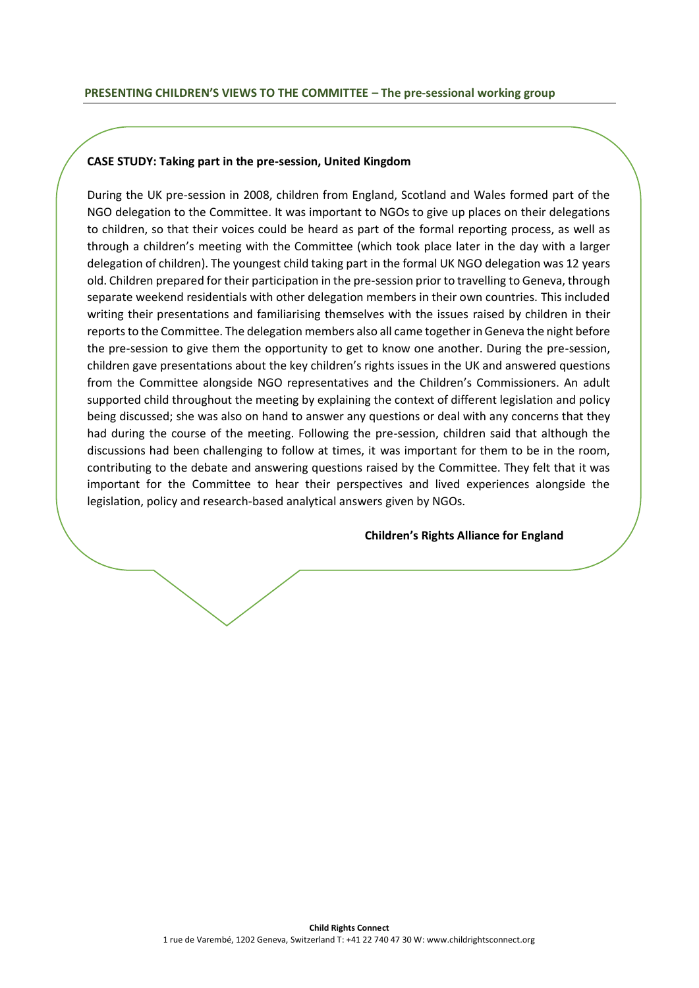### **CASE STUDY: Taking part in the pre-session, United Kingdom**

During the UK pre-session in 2008, children from England, Scotland and Wales formed part of the NGO delegation to the Committee. It was important to NGOs to give up places on their delegations to children, so that their voices could be heard as part of the formal reporting process, as well as through a children's meeting with the Committee (which took place later in the day with a larger delegation of children). The youngest child taking part in the formal UK NGO delegation was 12 years old. Children prepared for their participation in the pre-session prior to travelling to Geneva, through separate weekend residentials with other delegation members in their own countries. This included writing their presentations and familiarising themselves with the issues raised by children in their reports to the Committee. The delegation members also all came together in Geneva the night before the pre-session to give them the opportunity to get to know one another. During the pre-session, children gave presentations about the key children's rights issues in the UK and answered questions from the Committee alongside NGO representatives and the Children's Commissioners. An adult supported child throughout the meeting by explaining the context of different legislation and policy being discussed; she was also on hand to answer any questions or deal with any concerns that they had during the course of the meeting. Following the pre-session, children said that although the discussions had been challenging to follow at times, it was important for them to be in the room, contributing to the debate and answering questions raised by the Committee. They felt that it was important for the Committee to hear their perspectives and lived experiences alongside the legislation, policy and research-based analytical answers given by NGOs.

#### **Children's Rights Alliance for England**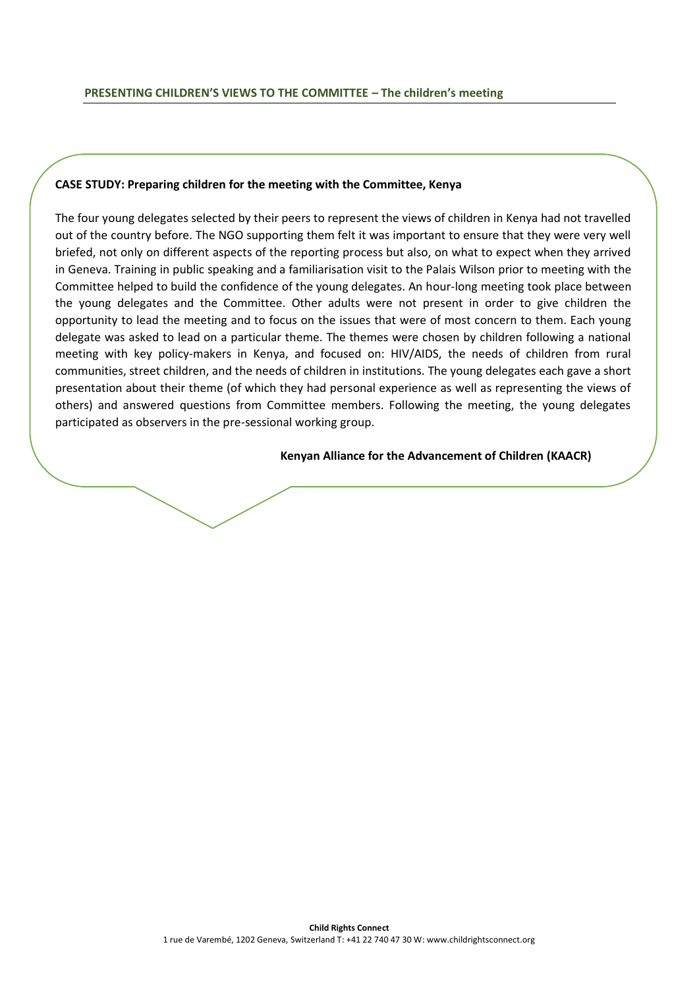## **CASE STUDY: Preparing children for the meeting with the Committee, Kenya**

The four young delegates selected by their peers to represent the views of children in Kenya had not travelled out of the country before. The NGO supporting them felt it was important to ensure that they were very well briefed, not only on different aspects of the reporting process but also, on what to expect when they arrived in Geneva. Training in public speaking and a familiarisation visit to the Palais Wilson prior to meeting with the Committee helped to build the confidence of the young delegates. An hour-long meeting took place between the young delegates and the Committee. Other adults were not present in order to give children the opportunity to lead the meeting and to focus on the issues that were of most concern to them. Each young delegate was asked to lead on a particular theme. The themes were chosen by children following a national meeting with key policy-makers in Kenya, and focused on: HIV/AIDS, the needs of children from rural communities, street children, and the needs of children in institutions. The young delegates each gave a short presentation about their theme (of which they had personal experience as well as representing the views of others) and answered questions from Committee members. Following the meeting, the young delegates participated as observers in the pre-sessional working group.

#### **Kenyan Alliance for the Advancement of Children (KAACR)**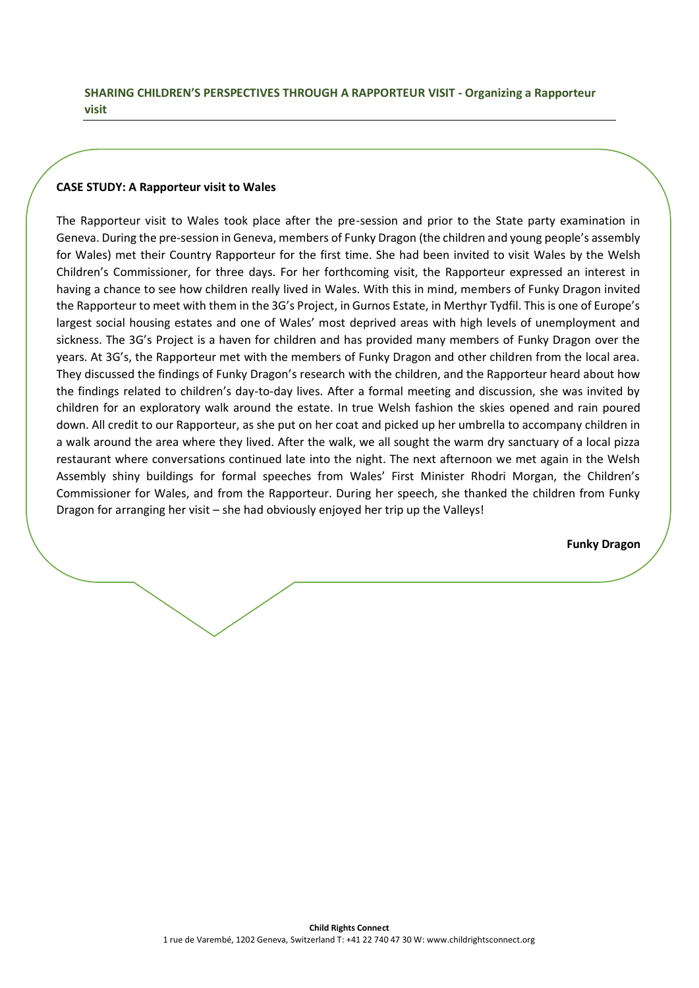## **SHARING CHILDREN'S PERSPECTIVES THROUGH A RAPPORTEUR VISIT - Organizing a Rapporteur visit**

## **CASE STUDY: A Rapporteur visit to Wales**

The Rapporteur visit to Wales took place after the pre-session and prior to the State party examination in Geneva. During the pre-session in Geneva, members of Funky Dragon (the children and young people's assembly for Wales) met their Country Rapporteur for the first time. She had been invited to visit Wales by the Welsh Children's Commissioner, for three days. For her forthcoming visit, the Rapporteur expressed an interest in having a chance to see how children really lived in Wales. With this in mind, members of Funky Dragon invited the Rapporteur to meet with them in the 3G's Project, in Gurnos Estate, in Merthyr Tydfil. This is one of Europe's largest social housing estates and one of Wales' most deprived areas with high levels of unemployment and sickness. The 3G's Project is a haven for children and has provided many members of Funky Dragon over the years. At 3G's, the Rapporteur met with the members of Funky Dragon and other children from the local area. They discussed the findings of Funky Dragon's research with the children, and the Rapporteur heard about how the findings related to children's day-to-day lives. After a formal meeting and discussion, she was invited by children for an exploratory walk around the estate. In true Welsh fashion the skies opened and rain poured down. All credit to our Rapporteur, as she put on her coat and picked up her umbrella to accompany children in a walk around the area where they lived. After the walk, we all sought the warm dry sanctuary of a local pizza restaurant where conversations continued late into the night. The next afternoon we met again in the Welsh Assembly shiny buildings for formal speeches from Wales' First Minister Rhodri Morgan, the Children's Commissioner for Wales, and from the Rapporteur. During her speech, she thanked the children from Funky Dragon for arranging her visit – she had obviously enjoyed her trip up the Valleys!

 **Funky Dragon**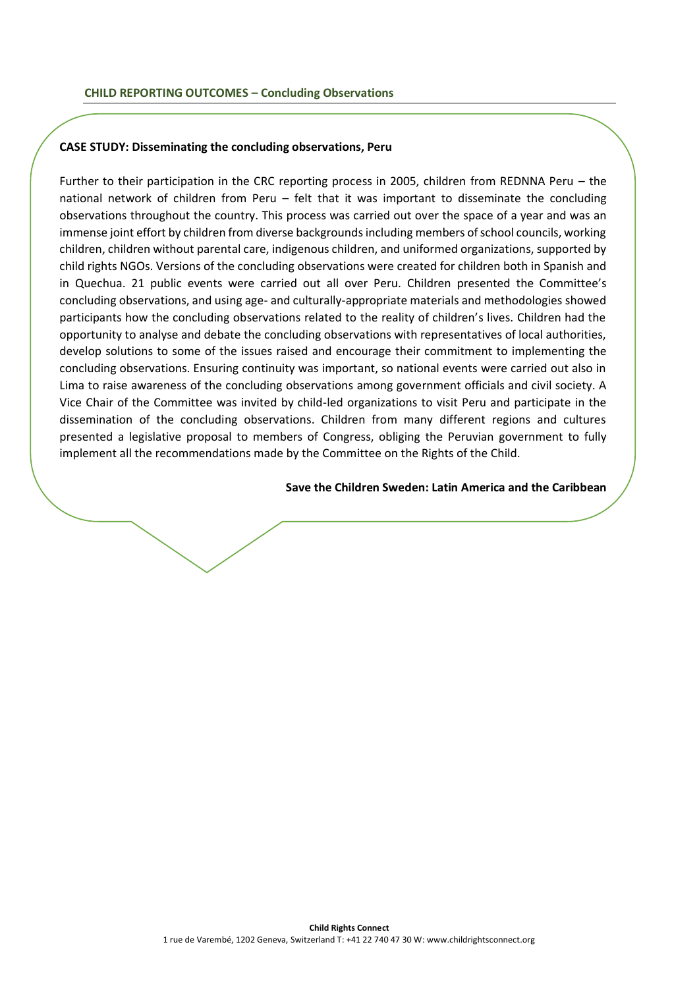### **CASE STUDY: Disseminating the concluding observations, Peru**

Further to their participation in the CRC reporting process in 2005, children from REDNNA Peru – the national network of children from Peru – felt that it was important to disseminate the concluding observations throughout the country. This process was carried out over the space of a year and was an immense joint effort by children from diverse backgrounds including members of school councils, working children, children without parental care, indigenous children, and uniformed organizations, supported by child rights NGOs. Versions of the concluding observations were created for children both in Spanish and in Quechua. 21 public events were carried out all over Peru. Children presented the Committee's concluding observations, and using age- and culturally-appropriate materials and methodologies showed participants how the concluding observations related to the reality of children's lives. Children had the opportunity to analyse and debate the concluding observations with representatives of local authorities, develop solutions to some of the issues raised and encourage their commitment to implementing the concluding observations. Ensuring continuity was important, so national events were carried out also in Lima to raise awareness of the concluding observations among government officials and civil society. A Vice Chair of the Committee was invited by child-led organizations to visit Peru and participate in the dissemination of the concluding observations. Children from many different regions and cultures presented a legislative proposal to members of Congress, obliging the Peruvian government to fully implement all the recommendations made by the Committee on the Rights of the Child.

## **Save the Children Sweden: Latin America and the Caribbean**